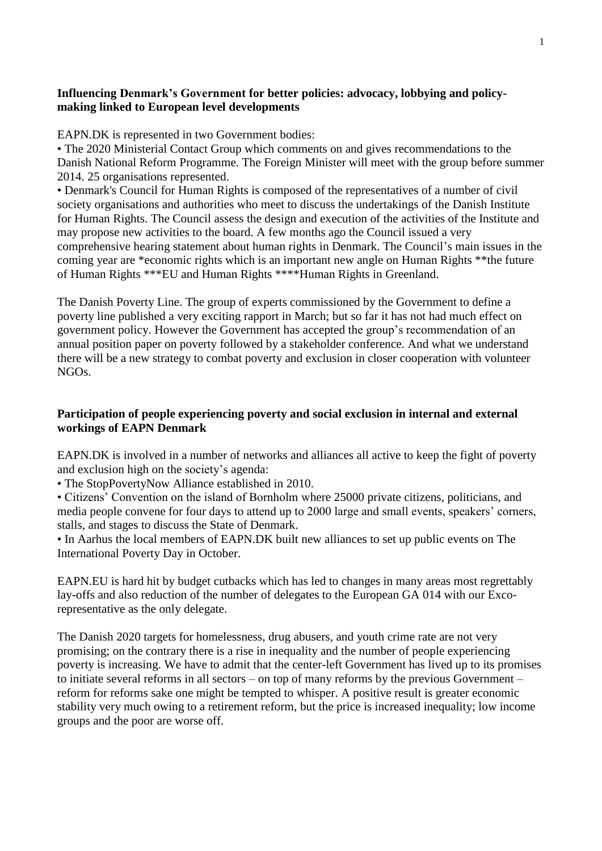## **Influencing Denmark's Government for better policies: advocacy, lobbying and policymaking linked to European level developments**

EAPN.DK is represented in two Government bodies:

• The 2020 Ministerial Contact Group which comments on and gives recommendations to the Danish National Reform Programme. The Foreign Minister will meet with the group before summer 2014. 25 organisations represented.

• Denmark's Council for Human Rights is composed of the representatives of a number of civil society organisations and authorities who meet to discuss the undertakings of the Danish Institute for Human Rights. The Council assess the design and execution of the activities of the Institute and may propose new activities to the board. A few months ago the Council issued a very comprehensive hearing statement about human rights in Denmark. The Council's main issues in the coming year are \*economic rights which is an important new angle on Human Rights \*\*the future of Human Rights \*\*\*EU and Human Rights \*\*\*\*Human Rights in Greenland.

The Danish Poverty Line. The group of experts commissioned by the Government to define a poverty line published a very exciting rapport in March; but so far it has not had much effect on government policy. However the Government has accepted the group's recommendation of an annual position paper on poverty followed by a stakeholder conference. And what we understand there will be a new strategy to combat poverty and exclusion in closer cooperation with volunteer NGOs.

## **Participation of people experiencing poverty and social exclusion in internal and external workings of EAPN Denmark**

EAPN.DK is involved in a number of networks and alliances all active to keep the fight of poverty and exclusion high on the society's agenda:

• The StopPovertyNow Alliance established in 2010.

• Citizens' Convention on the island of Bornholm where 25000 private citizens, politicians, and media people convene for four days to attend up to 2000 large and small events, speakers' corners, stalls, and stages to discuss the State of Denmark.

• In Aarhus the local members of EAPN.DK built new alliances to set up public events on The International Poverty Day in October.

EAPN.EU is hard hit by budget cutbacks which has led to changes in many areas most regrettably lay-offs and also reduction of the number of delegates to the European GA 014 with our Excorepresentative as the only delegate.

The Danish 2020 targets for homelessness, drug abusers, and youth crime rate are not very promising; on the contrary there is a rise in inequality and the number of people experiencing poverty is increasing. We have to admit that the center-left Government has lived up to its promises to initiate several reforms in all sectors – on top of many reforms by the previous Government – reform for reforms sake one might be tempted to whisper. A positive result is greater economic stability very much owing to a retirement reform, but the price is increased inequality; low income groups and the poor are worse off.